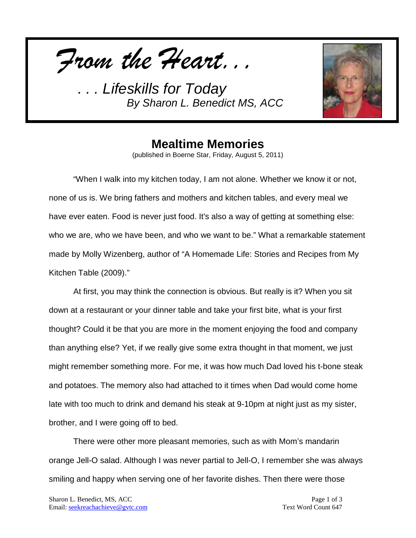*From the Heart...*



## **Mealtime Memories**

(published in Boerne Star, Friday, August 5, 2011)

"When I walk into my kitchen today, I am not alone. Whether we know it or not, none of us is. We bring fathers and mothers and kitchen tables, and every meal we have ever eaten. Food is never just food. It's also a way of getting at something else: who we are, who we have been, and who we want to be." What a remarkable statement made by Molly Wizenberg, author of "A Homemade Life: Stories and Recipes from My Kitchen Table (2009)."

At first, you may think the connection is obvious. But really is it? When you sit down at a restaurant or your dinner table and take your first bite, what is your first thought? Could it be that you are more in the moment enjoying the food and company than anything else? Yet, if we really give some extra thought in that moment, we just might remember something more. For me, it was how much Dad loved his t-bone steak and potatoes. The memory also had attached to it times when Dad would come home late with too much to drink and demand his steak at 9-10pm at night just as my sister, brother, and I were going off to bed.

There were other more pleasant memories, such as with Mom's mandarin orange Jell-O salad. Although I was never partial to Jell-O, I remember she was always smiling and happy when serving one of her favorite dishes. Then there were those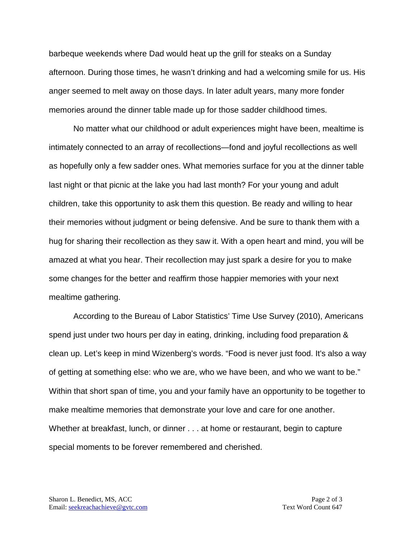barbeque weekends where Dad would heat up the grill for steaks on a Sunday afternoon. During those times, he wasn't drinking and had a welcoming smile for us. His anger seemed to melt away on those days. In later adult years, many more fonder memories around the dinner table made up for those sadder childhood times.

No matter what our childhood or adult experiences might have been, mealtime is intimately connected to an array of recollections—fond and joyful recollections as well as hopefully only a few sadder ones. What memories surface for you at the dinner table last night or that picnic at the lake you had last month? For your young and adult children, take this opportunity to ask them this question. Be ready and willing to hear their memories without judgment or being defensive. And be sure to thank them with a hug for sharing their recollection as they saw it. With a open heart and mind, you will be amazed at what you hear. Their recollection may just spark a desire for you to make some changes for the better and reaffirm those happier memories with your next mealtime gathering.

According to the Bureau of Labor Statistics' Time Use Survey (2010), Americans spend just under two hours per day in eating, drinking, including food preparation & clean up. Let's keep in mind Wizenberg's words. "Food is never just food. It's also a way of getting at something else: who we are, who we have been, and who we want to be." Within that short span of time, you and your family have an opportunity to be together to make mealtime memories that demonstrate your love and care for one another. Whether at breakfast, lunch, or dinner . . . at home or restaurant, begin to capture special moments to be forever remembered and cherished.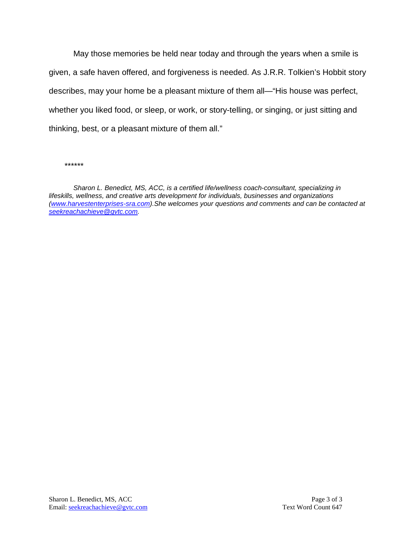May those memories be held near today and through the years when a smile is given, a safe haven offered, and forgiveness is needed. As J.R.R. Tolkien's Hobbit story describes, may your home be a pleasant mixture of them all—"His house was perfect, whether you liked food, or sleep, or work, or story-telling, or singing, or just sitting and thinking, best, or a pleasant mixture of them all."

*\*\*\*\*\*\**

*Sharon L. Benedict, MS, ACC, is a certified life/wellness coach-consultant, specializing in lifeskills, wellness, and creative arts development for individuals, businesses and organizations [\(www.harvestenterprises-sra.com\)](http://www.harvestenterprises-sra.com/).She welcomes your questions and comments and can be contacted at [seekreachachieve@gvtc.com.](mailto:seekreachachieve@gvtc.com)*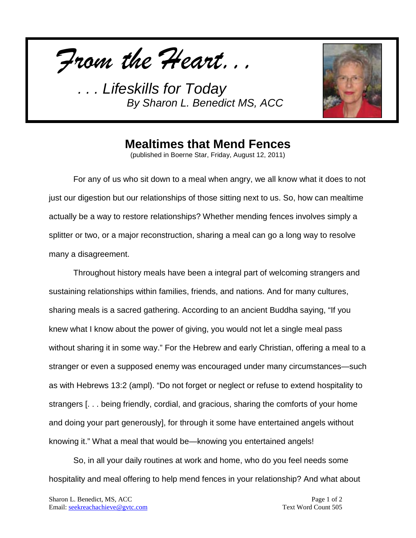*From the Heart...*



## **Mealtimes that Mend Fences**

(published in Boerne Star, Friday, August 12, 2011)

For any of us who sit down to a meal when angry, we all know what it does to not just our digestion but our relationships of those sitting next to us. So, how can mealtime actually be a way to restore relationships? Whether mending fences involves simply a splitter or two, or a major reconstruction, sharing a meal can go a long way to resolve many a disagreement.

Throughout history meals have been a integral part of welcoming strangers and sustaining relationships within families, friends, and nations. And for many cultures, sharing meals is a sacred gathering. According to an ancient Buddha saying, "If you knew what I know about the power of giving, you would not let a single meal pass without sharing it in some way." For the Hebrew and early Christian, offering a meal to a stranger or even a supposed enemy was encouraged under many circumstances—such as with Hebrews 13:2 (ampl). "Do not forget or neglect or refuse to extend hospitality to strangers [. . . being friendly, cordial, and gracious, sharing the comforts of your home and doing your part generously], for through it some have entertained angels without knowing it." What a meal that would be—knowing you entertained angels!

So, in all your daily routines at work and home, who do you feel needs some hospitality and meal offering to help mend fences in your relationship? And what about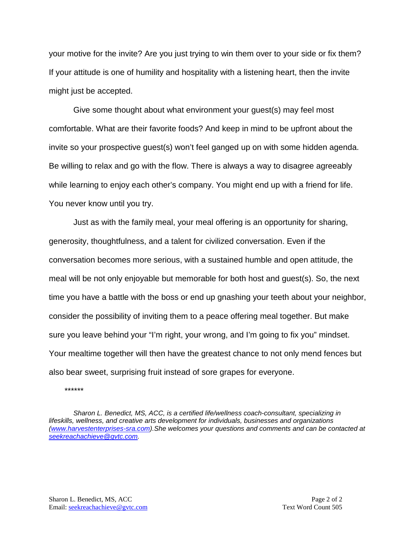your motive for the invite? Are you just trying to win them over to your side or fix them? If your attitude is one of humility and hospitality with a listening heart, then the invite might just be accepted.

Give some thought about what environment your guest(s) may feel most comfortable. What are their favorite foods? And keep in mind to be upfront about the invite so your prospective guest(s) won't feel ganged up on with some hidden agenda. Be willing to relax and go with the flow. There is always a way to disagree agreeably while learning to enjoy each other's company. You might end up with a friend for life. You never know until you try.

Just as with the family meal, your meal offering is an opportunity for sharing, generosity, thoughtfulness, and a talent for civilized conversation. Even if the conversation becomes more serious, with a sustained humble and open attitude, the meal will be not only enjoyable but memorable for both host and guest(s). So, the next time you have a battle with the boss or end up gnashing your teeth about your neighbor, consider the possibility of inviting them to a peace offering meal together. But make sure you leave behind your "I'm right, your wrong, and I'm going to fix you" mindset. Your mealtime together will then have the greatest chance to not only mend fences but also bear sweet, surprising fruit instead of sore grapes for everyone.

*\*\*\*\*\*\**

*Sharon L. Benedict, MS, ACC, is a certified life/wellness coach-consultant, specializing in lifeskills, wellness, and creative arts development for individuals, businesses and organizations [\(www.harvestenterprises-sra.com\)](http://www.harvestenterprises-sra.com/).She welcomes your questions and comments and can be contacted at [seekreachachieve@gvtc.com.](mailto:seekreachachieve@gvtc.com)*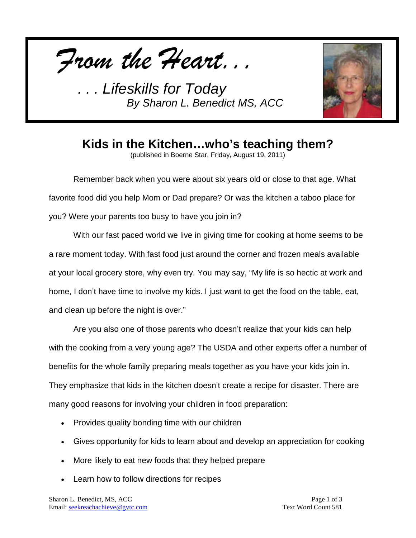



**Kids in the Kitchen…who's teaching them?**

(published in Boerne Star, Friday, August 19, 2011)

Remember back when you were about six years old or close to that age. What favorite food did you help Mom or Dad prepare? Or was the kitchen a taboo place for you? Were your parents too busy to have you join in?

With our fast paced world we live in giving time for cooking at home seems to be a rare moment today. With fast food just around the corner and frozen meals available at your local grocery store, why even try. You may say, "My life is so hectic at work and home, I don't have time to involve my kids. I just want to get the food on the table, eat, and clean up before the night is over."

Are you also one of those parents who doesn't realize that your kids can help with the cooking from a very young age? The USDA and other experts offer a number of benefits for the whole family preparing meals together as you have your kids join in. They emphasize that kids in the kitchen doesn't create a recipe for disaster. There are many good reasons for involving your children in food preparation:

- Provides quality bonding time with our children
- Gives opportunity for kids to learn about and develop an appreciation for cooking
- More likely to eat new foods that they helped prepare
- Learn how to follow directions for recipes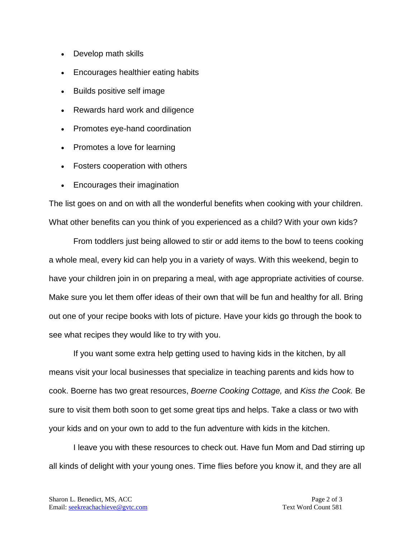- Develop math skills
- Encourages healthier eating habits
- Builds positive self image
- Rewards hard work and diligence
- Promotes eye-hand coordination
- Promotes a love for learning
- Fosters cooperation with others
- Encourages their imagination

The list goes on and on with all the wonderful benefits when cooking with your children. What other benefits can you think of you experienced as a child? With your own kids?

From toddlers just being allowed to stir or add items to the bowl to teens cooking a whole meal, every kid can help you in a variety of ways. With this weekend, begin to have your children join in on preparing a meal, with age appropriate activities of course. Make sure you let them offer ideas of their own that will be fun and healthy for all. Bring out one of your recipe books with lots of picture. Have your kids go through the book to see what recipes they would like to try with you.

If you want some extra help getting used to having kids in the kitchen, by all means visit your local businesses that specialize in teaching parents and kids how to cook. Boerne has two great resources, *Boerne Cooking Cottage,* and *Kiss the Cook.* Be sure to visit them both soon to get some great tips and helps. Take a class or two with your kids and on your own to add to the fun adventure with kids in the kitchen.

I leave you with these resources to check out. Have fun Mom and Dad stirring up all kinds of delight with your young ones. Time flies before you know it, and they are all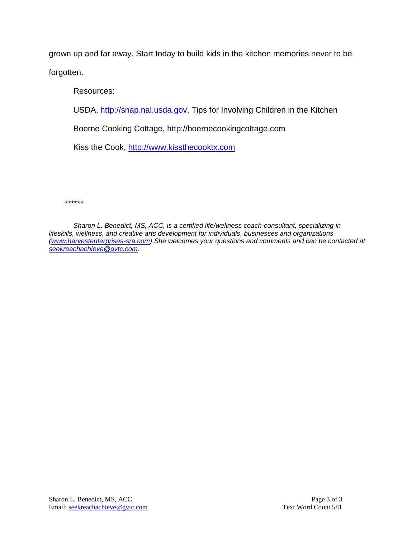grown up and far away. Start today to build kids in the kitchen memories never to be forgotten.

Resources:

USDA, [http://snap.nal.usda.gov,](http://snap.nal.usda.gov/) Tips for Involving Children in the Kitchen

Boerne Cooking Cottage, http://boernecookingcottage.com

Kiss the Cook, [http://www.kissthecooktx.com](http://www.kissthecooktx.com/)

*\*\*\*\*\*\**

*Sharon L. Benedict, MS, ACC, is a certified life/wellness coach-consultant, specializing in lifeskills, wellness, and creative arts development for individuals, businesses and organizations [\(www.harvestenterprises-sra.com\)](http://www.harvestenterprises-sra.com/).She welcomes your questions and comments and can be contacted at [seekreachachieve@gvtc.com.](mailto:seekreachachieve@gvtc.com)*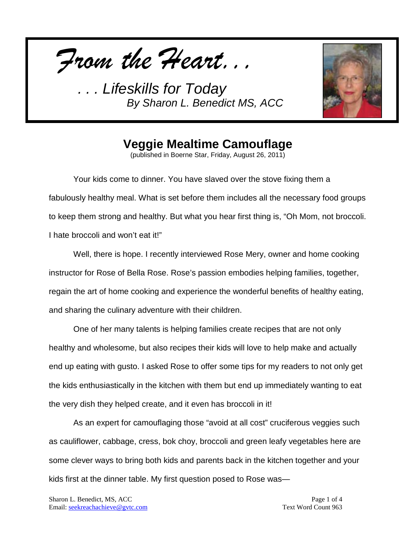*From the Heart...*



## **Veggie Mealtime Camouflage**

(published in Boerne Star, Friday, August 26, 2011)

Your kids come to dinner. You have slaved over the stove fixing them a fabulously healthy meal. What is set before them includes all the necessary food groups to keep them strong and healthy. But what you hear first thing is, "Oh Mom, not broccoli. I hate broccoli and won't eat it!"

Well, there is hope. I recently interviewed Rose Mery, owner and home cooking instructor for Rose of Bella Rose. Rose's passion embodies helping families, together, regain the art of home cooking and experience the wonderful benefits of healthy eating, and sharing the culinary adventure with their children.

One of her many talents is helping families create recipes that are not only healthy and wholesome, but also recipes their kids will love to help make and actually end up eating with gusto. I asked Rose to offer some tips for my readers to not only get the kids enthusiastically in the kitchen with them but end up immediately wanting to eat the very dish they helped create, and it even has broccoli in it!

As an expert for camouflaging those "avoid at all cost" cruciferous veggies such as cauliflower, cabbage, cress, bok choy, broccoli and green leafy vegetables here are some clever ways to bring both kids and parents back in the kitchen together and your kids first at the dinner table. My first question posed to Rose was—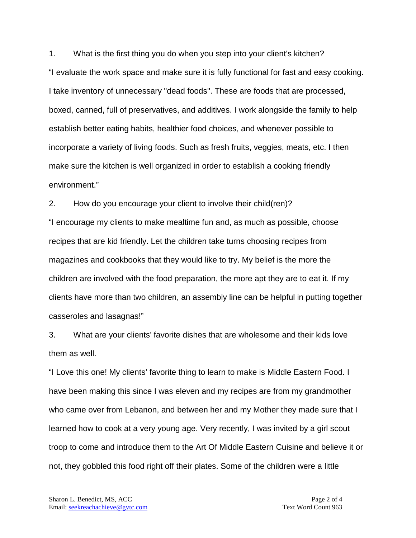1. What is the first thing you do when you step into your client's kitchen? "I evaluate the work space and make sure it is fully functional for fast and easy cooking. I take inventory of unnecessary "dead foods". These are foods that are processed, boxed, canned, full of preservatives, and additives. I work alongside the family to help establish better eating habits, healthier food choices, and whenever possible to incorporate a variety of living foods. Such as fresh fruits, veggies, meats, etc. I then make sure the kitchen is well organized in order to establish a cooking friendly environment."

2. How do you encourage your client to involve their child(ren)? "I encourage my clients to make mealtime fun and, as much as possible, choose recipes that are kid friendly. Let the children take turns choosing recipes from magazines and cookbooks that they would like to try. My belief is the more the children are involved with the food preparation, the more apt they are to eat it. If my clients have more than two children, an assembly line can be helpful in putting together casseroles and lasagnas!"

3. What are your clients' favorite dishes that are wholesome and their kids love them as well.

"I Love this one! My clients' favorite thing to learn to make is Middle Eastern Food. I have been making this since I was eleven and my recipes are from my grandmother who came over from Lebanon, and between her and my Mother they made sure that I learned how to cook at a very young age. Very recently, I was invited by a girl scout troop to come and introduce them to the Art Of Middle Eastern Cuisine and believe it or not, they gobbled this food right off their plates. Some of the children were a little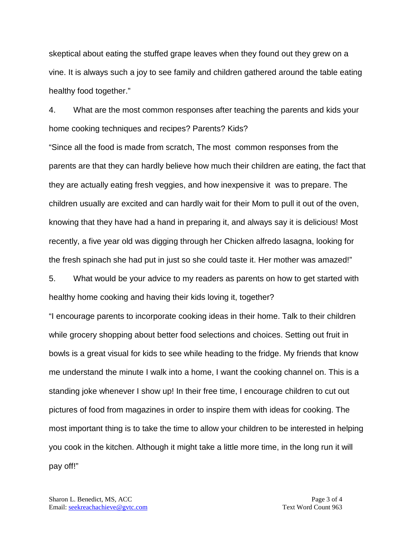skeptical about eating the stuffed grape leaves when they found out they grew on a vine. It is always such a joy to see family and children gathered around the table eating healthy food together."

4. What are the most common responses after teaching the parents and kids your home cooking techniques and recipes? Parents? Kids?

"Since all the food is made from scratch, The most common responses from the parents are that they can hardly believe how much their children are eating, the fact that they are actually eating fresh veggies, and how inexpensive it was to prepare. The children usually are excited and can hardly wait for their Mom to pull it out of the oven, knowing that they have had a hand in preparing it, and always say it is delicious! Most recently, a five year old was digging through her Chicken alfredo lasagna, looking for the fresh spinach she had put in just so she could taste it. Her mother was amazed!"

5. What would be your advice to my readers as parents on how to get started with healthy home cooking and having their kids loving it, together?

"I encourage parents to incorporate cooking ideas in their home. Talk to their children while grocery shopping about better food selections and choices. Setting out fruit in bowls is a great visual for kids to see while heading to the fridge. My friends that know me understand the minute I walk into a home, I want the cooking channel on. This is a standing joke whenever I show up! In their free time, I encourage children to cut out pictures of food from magazines in order to inspire them with ideas for cooking. The most important thing is to take the time to allow your children to be interested in helping you cook in the kitchen. Although it might take a little more time, in the long run it will pay off!"